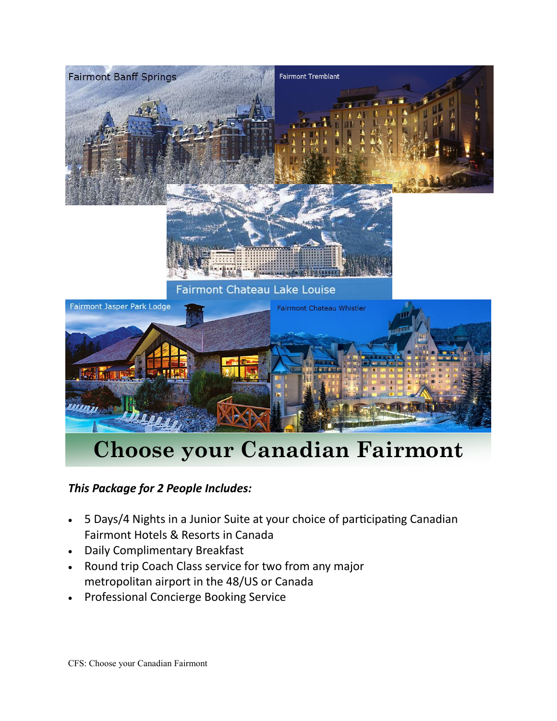

## **Choose your Canadian Fairmont**

## *This Package for 2 People Includes:*

- 5 Days/4 Nights in a Junior Suite at your choice of participating Canadian Fairmont Hotels & Resorts in Canada
- Daily Complimentary Breakfast
- Round trip Coach Class service for two from any major metropolitan airport in the 48/US or Canada
- Professional Concierge Booking Service